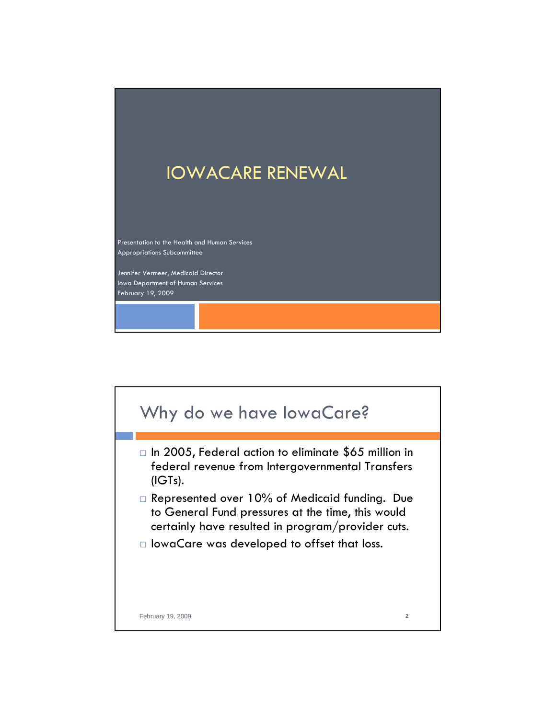## IOWACARE RENEWAL

Presentation to the Health and Human Services Appropriations Subcommittee

Jennifer Vermeer, Medicaid Director Iowa Department of Human Services February 19, 2009

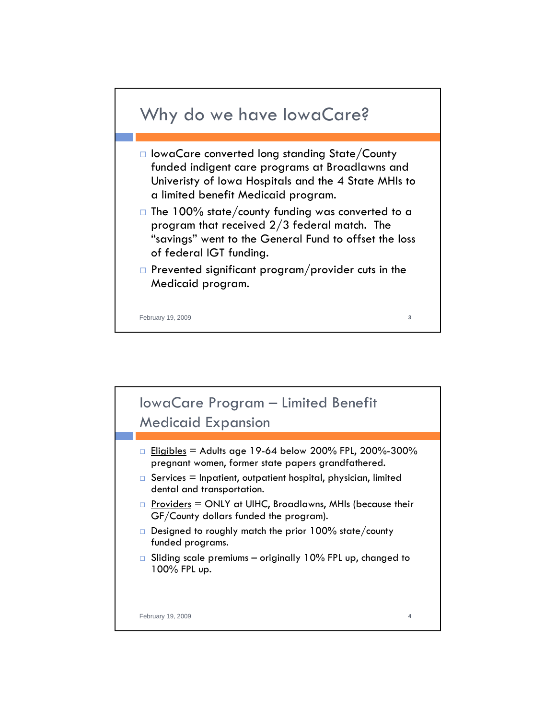

- IowaCare converted long standing State/County funded indigent care programs at Broadlawns and Univeristy of Iowa Hospitals and the 4 State MHIs to a limited benefit Medicaid program.
- $\Box$  The 100% state/county funding was converted to a program that received 2/3 federal match. The "savings" went to the General Fund to offset the loss of federal IGT funding.
- $\Box$  Prevented significant program/provider cuts in the Medicaid program.

February 19, 2009 **3**

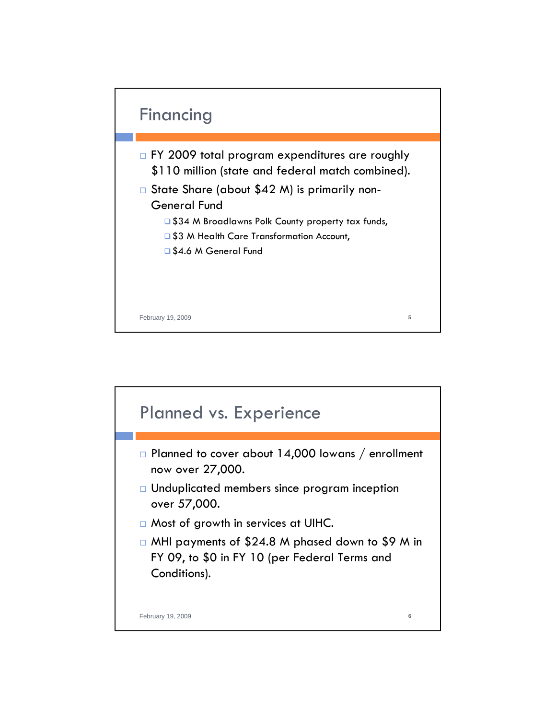

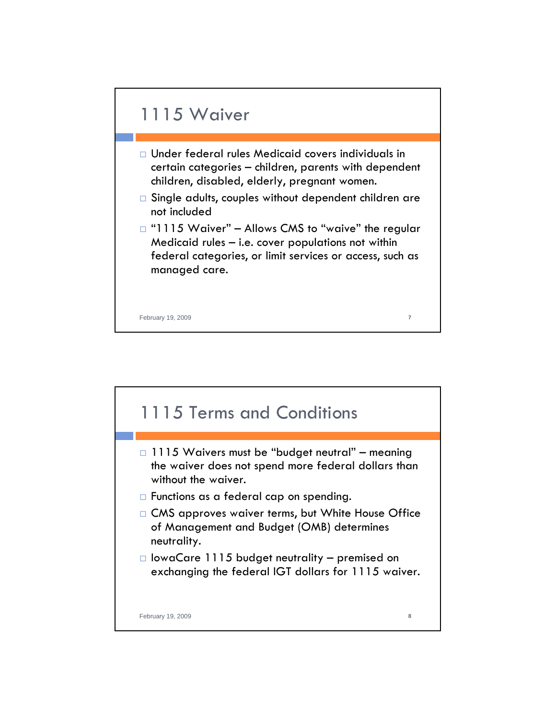

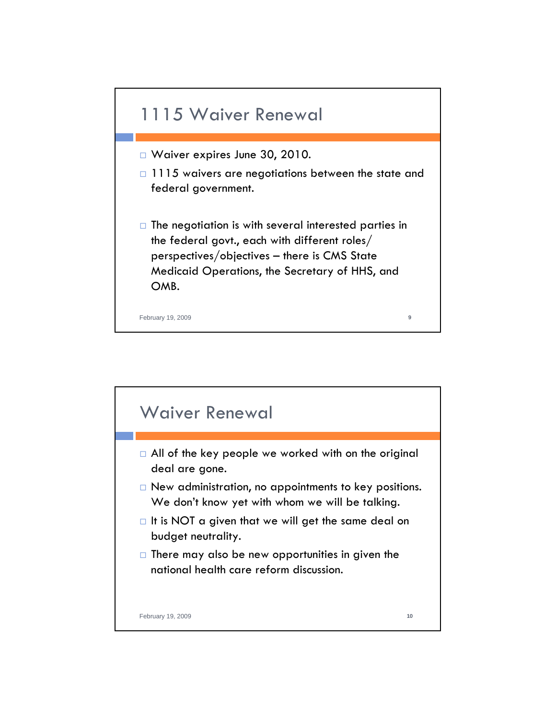